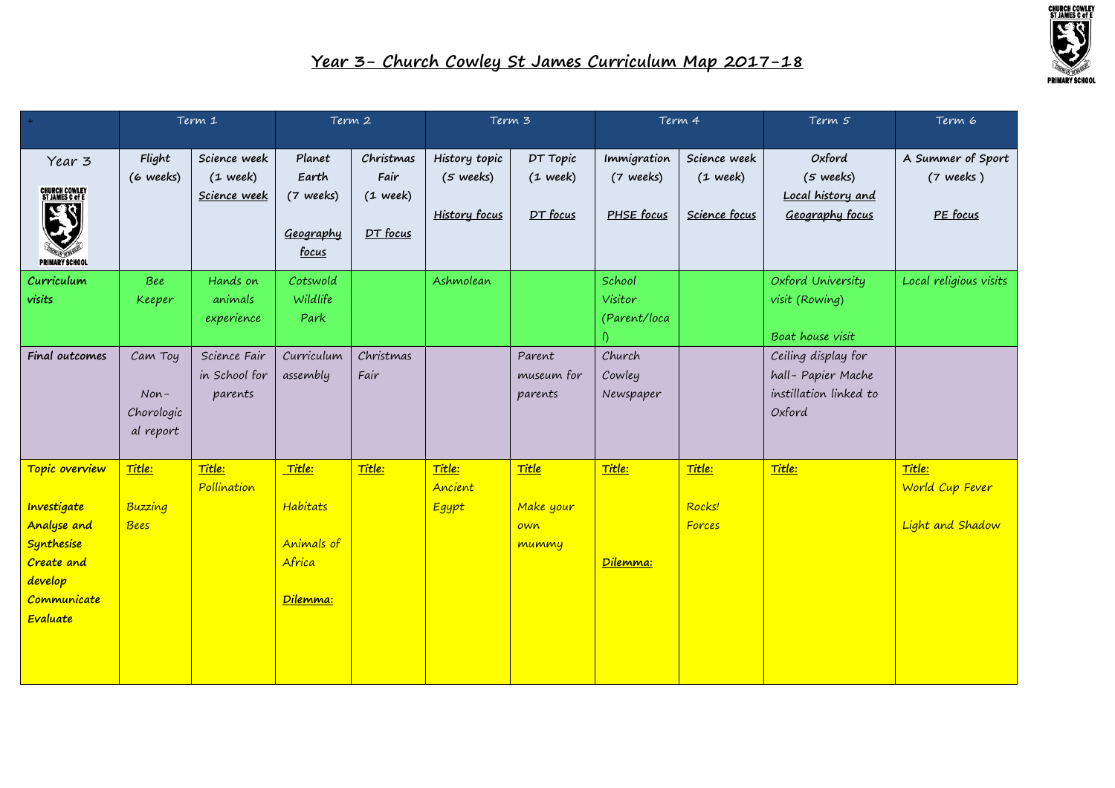

|                                                    | Term 1                  |                            | Term 2                          |                        | Term 3                               |                        | Term 4                   |                            | Term 5                                      | Term 6                           |
|----------------------------------------------------|-------------------------|----------------------------|---------------------------------|------------------------|--------------------------------------|------------------------|--------------------------|----------------------------|---------------------------------------------|----------------------------------|
|                                                    |                         |                            |                                 |                        |                                      |                        |                          |                            |                                             |                                  |
| Year 3<br><b>CHURCH COWLEY<br/>ST JAMES C of E</b> | Flight<br>(6 weeks)     | Science week<br>$(1$ week) | Planet<br>Earth                 | Christmas<br>Fair      | History topic<br>$(5 \text{ weeks})$ | DT Topic<br>$(1$ week) | Immigration<br>(7 weeks) | Science week<br>$(1$ week) | Oxford<br>$(5$ weeks)                       | A Summer of Sport<br>$(7$ weeks) |
| ぼく<br><b>PRIMARY SCHOOL</b>                        |                         | Science week               | (7 weeks)<br>Geography<br>focus | $(1$ week)<br>DT focus | <b>History focus</b>                 | DT focus               | PHSE focus               | Science focus              | Local history and<br>Geography focus        | PE focus                         |
| Curriculum                                         | Bee                     | Hands on                   | Cotswold                        |                        | Ashmolean                            |                        | School                   |                            | Oxford University                           | Local religious visits           |
| visits                                             | <b>Keeper</b>           | animals<br>experience      | Wildlife<br>Park                |                        |                                      |                        | Visitor<br>(Parent/loca  |                            | visit (Rowing)<br>Boat house visit          |                                  |
| Final outcomes                                     | Cam Toy                 | Science Fair               | Curriculum                      | Christmas              |                                      | Parent                 | Church                   |                            | Ceiling display for                         |                                  |
|                                                    | $Non-$                  | in School for<br>parents   | assembly                        | Fair                   |                                      | museum for<br>parents  | Cowley<br>Newspaper      |                            | hall-Papier Mache<br>instillation linked to |                                  |
|                                                    | Chorologic<br>al report |                            |                                 |                        |                                      |                        |                          |                            | Oxford                                      |                                  |
| Topic overview                                     | Title:                  | Title:<br>Pollination      | <mark>Title:</mark>             | Title:                 | Title:<br>Ancient                    | Title                  | Title:                   | Title:                     | Title:                                      | Title:<br>World Cup Fever        |
| Investigate                                        | Buzzing                 |                            | Habitats                        |                        | <b>Egypt</b>                         | Make your              |                          | Rocks!                     |                                             |                                  |
| <b>Analyse and</b>                                 | <b>Bees</b>             |                            |                                 |                        |                                      | own                    |                          | Forces                     |                                             | Light and Shadow                 |
| Synthesise                                         |                         |                            | Animals of                      |                        |                                      | mummy                  |                          |                            |                                             |                                  |
| Create and<br>develop                              |                         |                            | Africa                          |                        |                                      |                        | Dilemma:                 |                            |                                             |                                  |
| Communicate                                        |                         |                            | Dilemma:                        |                        |                                      |                        |                          |                            |                                             |                                  |
| Evaluate                                           |                         |                            |                                 |                        |                                      |                        |                          |                            |                                             |                                  |
|                                                    |                         |                            |                                 |                        |                                      |                        |                          |                            |                                             |                                  |
|                                                    |                         |                            |                                 |                        |                                      |                        |                          |                            |                                             |                                  |
|                                                    |                         |                            |                                 |                        |                                      |                        |                          |                            |                                             |                                  |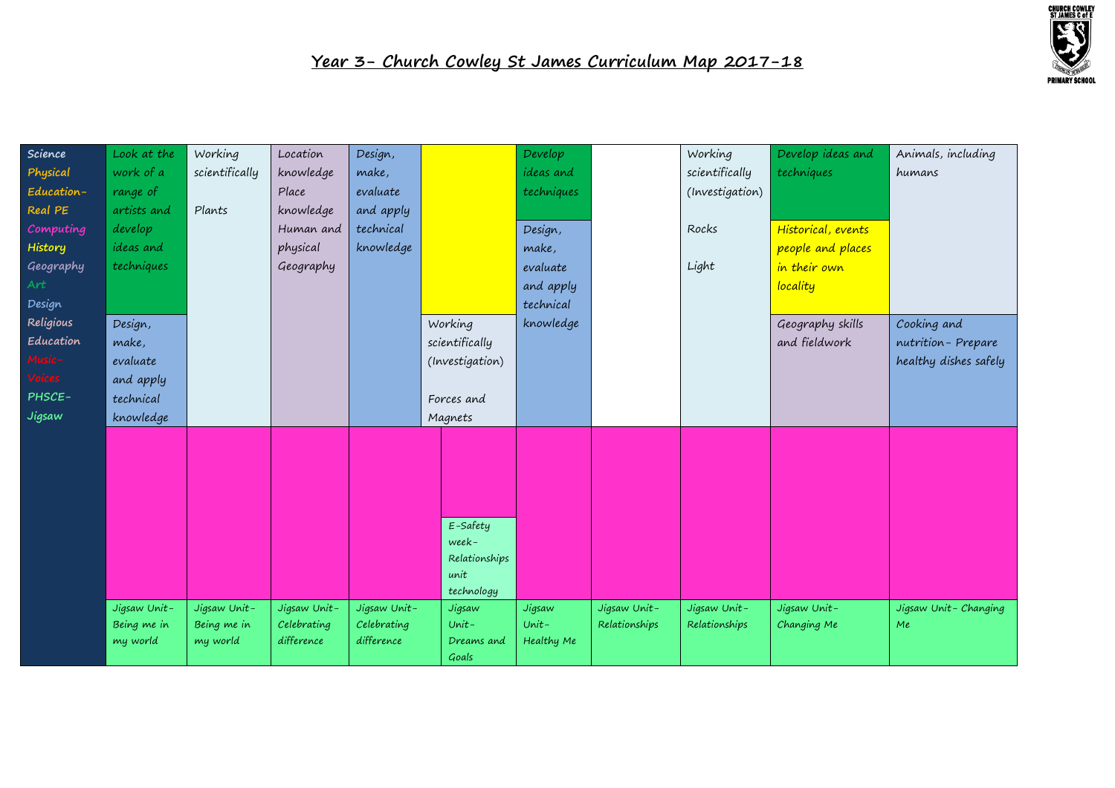

| Science    | Look at the  | Working        | Location     | Design,      |                        | Develop          |               | Working         | Develop ideas and  | Animals, including    |
|------------|--------------|----------------|--------------|--------------|------------------------|------------------|---------------|-----------------|--------------------|-----------------------|
| Physical   | work of a    | scientifically | knowledge    | make,        |                        | <i>ideas</i> and |               | scientifically  | techniques         | humans                |
| Education- | range of     |                | Place        | evaluate     |                        | techniques       |               | (Investigation) |                    |                       |
| Real PE    | artists and  | Plants         | knowledge    | and apply    |                        |                  |               |                 |                    |                       |
| Computing  | develop      |                | Human and    | technical    |                        | Design,          |               | Rocks           | Historical, events |                       |
| History    | ideas and    |                | physical     | knowledge    |                        | make,            |               |                 | people and places  |                       |
| Geography  | techniques   |                | Geography    |              |                        | evaluate         |               | Light           | in their own       |                       |
| Art        |              |                |              |              |                        | and apply        |               |                 | locality           |                       |
| Design     |              |                |              |              |                        | technical        |               |                 |                    |                       |
| Religious  | Design,      |                |              |              | Working                | knowledge        |               |                 | Geography skills   | Cooking and           |
| Education  | make,        |                |              |              | scientifically         |                  |               |                 | and fieldwork      | nutrition-Prepare     |
| Music-     | evaluate     |                |              |              | (Investigation)        |                  |               |                 |                    | healthy dishes safely |
| Voices     | and apply    |                |              |              |                        |                  |               |                 |                    |                       |
| PHSCE-     | technical    |                |              |              | Forces and             |                  |               |                 |                    |                       |
| Jigsaw     | knowledge    |                |              |              | Magnets                |                  |               |                 |                    |                       |
|            |              |                |              |              |                        |                  |               |                 |                    |                       |
|            |              |                |              |              |                        |                  |               |                 |                    |                       |
|            |              |                |              |              |                        |                  |               |                 |                    |                       |
|            |              |                |              |              |                        |                  |               |                 |                    |                       |
|            |              |                |              |              |                        |                  |               |                 |                    |                       |
|            |              |                |              |              | E-Safety               |                  |               |                 |                    |                       |
|            |              |                |              |              | week-<br>Relationships |                  |               |                 |                    |                       |
|            |              |                |              |              | unit                   |                  |               |                 |                    |                       |
|            |              |                |              |              | technology             |                  |               |                 |                    |                       |
|            | Jigsaw Unit- | Jigsaw Unit-   | Jigsaw Unit- | Jigsaw Unit- | Jigsaw                 | Jigsaw           | Jigsaw Unit-  | Jigsaw Unit-    | Jigsaw Unit-       | Jigsaw Unit-Changing  |
|            | Being me in  | Being me in    | Celebrating  | Celebrating  | $Unit -$               | $Unit -$         | Relationships | Relationships   | Changing Me        | Me                    |
|            | my world     | my world       | difference   | difference   | Dreams and             | Healthy Me       |               |                 |                    |                       |
|            |              |                |              |              | Goals                  |                  |               |                 |                    |                       |